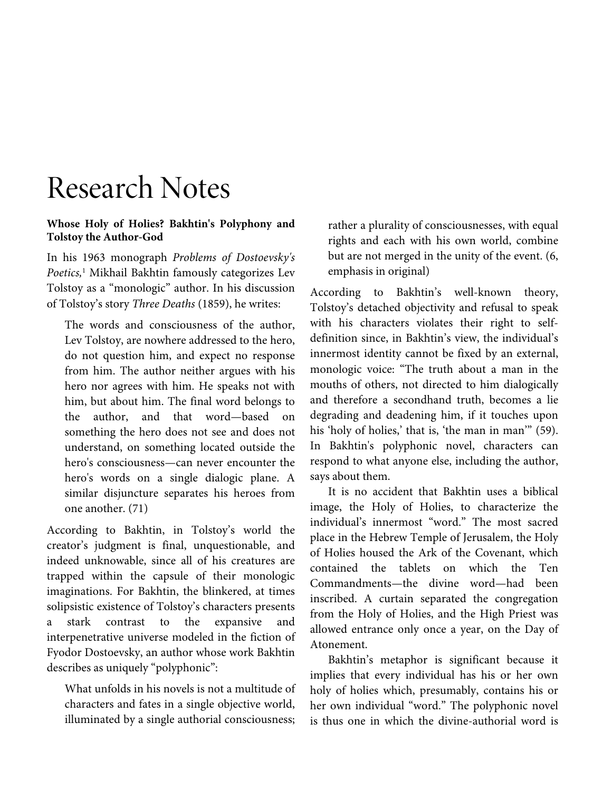# Research Notes

### **Whose Holy of Holies? Bakhtin's Polyphony and Tolstoy the Author-God**

In his 1963 monograph *Problems of Dostoevsky's Poetics,*<sup>1</sup> Mikhail Bakhtin famously categorizes Lev Tolstoy as a "monologic" author. In his discussion of Tolstoy's story *Three Deaths* (1859), he writes:

The words and consciousness of the author, Lev Tolstoy, are nowhere addressed to the hero, do not question him, and expect no response from him. The author neither argues with his hero nor agrees with him. He speaks not with him, but about him. The final word belongs to the author, and that word—based on something the hero does not see and does not understand, on something located outside the hero's consciousness—can never encounter the hero's words on a single dialogic plane. A similar disjuncture separates his heroes from one another. (71)

According to Bakhtin, in Tolstoy's world the creator's judgment is final, unquestionable, and indeed unknowable, since all of his creatures are trapped within the capsule of their monologic imaginations. For Bakhtin, the blinkered, at times solipsistic existence of Tolstoy's characters presents a stark contrast to the expansive and interpenetrative universe modeled in the fiction of Fyodor Dostoevsky, an author whose work Bakhtin describes as uniquely "polyphonic":

What unfolds in his novels is not a multitude of characters and fates in a single objective world, illuminated by a single authorial consciousness;

rather a plurality of consciousnesses, with equal rights and each with his own world, combine but are not merged in the unity of the event. (6, emphasis in original)

According to Bakhtin's well-known theory, Tolstoy's detached objectivity and refusal to speak with his characters violates their right to selfdefinition since, in Bakhtin's view, the individual's innermost identity cannot be fixed by an external, monologic voice: "The truth about a man in the mouths of others, not directed to him dialogically and therefore a secondhand truth, becomes a lie degrading and deadening him, if it touches upon his 'holy of holies,' that is, 'the man in man'" (59). In Bakhtin's polyphonic novel, characters can respond to what anyone else, including the author, says about them.

It is no accident that Bakhtin uses a biblical image, the Holy of Holies, to characterize the individual's innermost "word." The most sacred place in the Hebrew Temple of Jerusalem, the Holy of Holies housed the Ark of the Covenant, which contained the tablets on which the Ten Commandments—the divine word—had been inscribed. A curtain separated the congregation from the Holy of Holies, and the High Priest was allowed entrance only once a year, on the Day of Atonement.

Bakhtin's metaphor is significant because it implies that every individual has his or her own holy of holies which, presumably, contains his or her own individual "word." The polyphonic novel is thus one in which the divine-authorial word is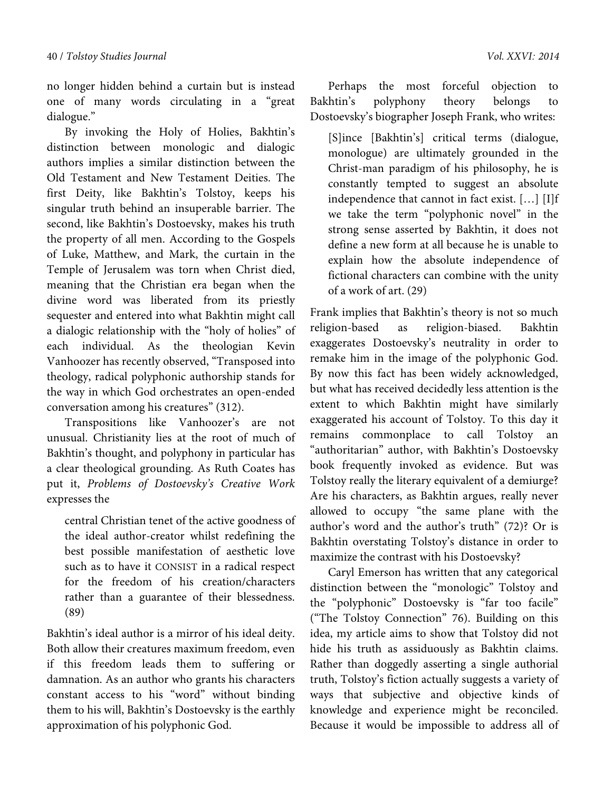no longer hidden behind a curtain but is instead one of many words circulating in a "great dialogue."

By invoking the Holy of Holies, Bakhtin's distinction between monologic and dialogic authors implies a similar distinction between the Old Testament and New Testament Deities. The first Deity, like Bakhtin's Tolstoy, keeps his singular truth behind an insuperable barrier. The second, like Bakhtin's Dostoevsky, makes his truth the property of all men. According to the Gospels of Luke, Matthew, and Mark, the curtain in the Temple of Jerusalem was torn when Christ died, meaning that the Christian era began when the divine word was liberated from its priestly sequester and entered into what Bakhtin might call a dialogic relationship with the "holy of holies" of each individual. As the theologian Kevin Vanhoozer has recently observed, "Transposed into theology, radical polyphonic authorship stands for the way in which God orchestrates an open-ended conversation among his creatures" (312).

Transpositions like Vanhoozer's are not unusual. Christianity lies at the root of much of Bakhtin's thought, and polyphony in particular has a clear theological grounding. As Ruth Coates has put it, *Problems of Dostoevsky's Creative Work* expresses the

central Christian tenet of the active goodness of the ideal author-creator whilst redefining the best possible manifestation of aesthetic love such as to have it CONSIST in a radical respect for the freedom of his creation/characters rather than a guarantee of their blessedness. (89)

Bakhtin's ideal author is a mirror of his ideal deity. Both allow their creatures maximum freedom, even if this freedom leads them to suffering or damnation. As an author who grants his characters constant access to his "word" without binding them to his will, Bakhtin's Dostoevsky is the earthly approximation of his polyphonic God.

Perhaps the most forceful objection to Bakhtin's polyphony theory belongs to Dostoevsky's biographer Joseph Frank, who writes:

[S]ince [Bakhtin's] critical terms (dialogue, monologue) are ultimately grounded in the Christ-man paradigm of his philosophy, he is constantly tempted to suggest an absolute independence that cannot in fact exist. […] [I]f we take the term "polyphonic novel" in the strong sense asserted by Bakhtin, it does not define a new form at all because he is unable to explain how the absolute independence of fictional characters can combine with the unity of a work of art. (29)

Frank implies that Bakhtin's theory is not so much<br>religion-based as religion-biased. Bakhtin as religion-biased. Bakhtin exaggerates Dostoevsky's neutrality in order to remake him in the image of the polyphonic God. By now this fact has been widely acknowledged, but what has received decidedly less attention is the extent to which Bakhtin might have similarly exaggerated his account of Tolstoy. To this day it remains commonplace to call Tolstoy an "authoritarian" author, with Bakhtin's Dostoevsky book frequently invoked as evidence. But was Tolstoy really the literary equivalent of a demiurge? Are his characters, as Bakhtin argues, really never allowed to occupy "the same plane with the author's word and the author's truth" (72)? Or is Bakhtin overstating Tolstoy's distance in order to maximize the contrast with his Dostoevsky?

Caryl Emerson has written that any categorical distinction between the "monologic" Tolstoy and the "polyphonic" Dostoevsky is "far too facile" ("The Tolstoy Connection" 76). Building on this idea, my article aims to show that Tolstoy did not hide his truth as assiduously as Bakhtin claims. Rather than doggedly asserting a single authorial truth, Tolstoy's fiction actually suggests a variety of ways that subjective and objective kinds of knowledge and experience might be reconciled. Because it would be impossible to address all of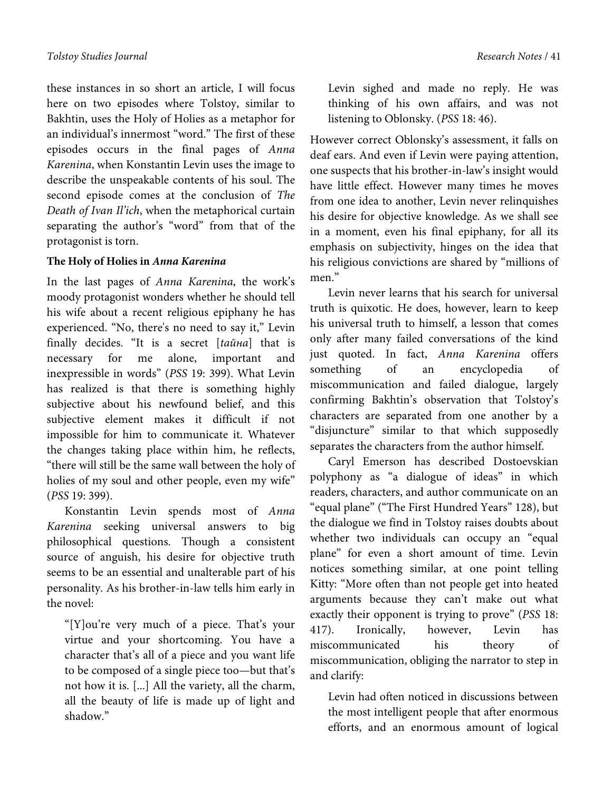these instances in so short an article, I will focus here on two episodes where Tolstoy, similar to Bakhtin, uses the Holy of Holies as a metaphor for an individual's innermost "word." The first of these episodes occurs in the final pages of *Anna Karenina*, when Konstantin Levin uses the image to describe the unspeakable contents of his soul. The second episode comes at the conclusion of *The Death of Ivan Il'ich*, when the metaphorical curtain separating the author's "word" from that of the protagonist is torn.

## **The Holy of Holies in** *Anna Karenina*

In the last pages of *Anna Karenina*, the work's moody protagonist wonders whether he should tell his wife about a recent religious epiphany he has experienced. "No, there's no need to say it," Levin finally decides. "It is a secret [*tайна*] that is necessary for me alone, important and inexpressible in words" (*PSS* 19: 399). What Levin has realized is that there is something highly subjective about his newfound belief, and this subjective element makes it difficult if not impossible for him to communicate it. Whatever the changes taking place within him, he reflects, "there will still be the same wall between the holy of holies of my soul and other people, even my wife" (*PSS* 19: 399).

Konstantin Levin spends most of *Anna Karenina* seeking universal answers to big philosophical questions. Though a consistent source of anguish, his desire for objective truth seems to be an essential and unalterable part of his personality. As his brother-in-law tells him early in the novel:

"[Y]ou're very much of a piece. That's your virtue and your shortcoming. You have a character that's all of a piece and you want life to be composed of a single piece too—but that's not how it is. [...] All the variety, all the charm, all the beauty of life is made up of light and shadow."

Levin sighed and made no reply. He was thinking of his own affairs, and was not listening to Oblonsky. (*PSS* 18: 46).

However correct Oblonsky's assessment, it falls on deaf ears. And even if Levin were paying attention, one suspects that his brother-in-law's insight would have little effect. However many times he moves from one idea to another, Levin never relinquishes his desire for objective knowledge. As we shall see in a moment, even his final epiphany, for all its emphasis on subjectivity, hinges on the idea that his religious convictions are shared by "millions of men<sup>"</sup>

Levin never learns that his search for universal truth is quixotic. He does, however, learn to keep his universal truth to himself, a lesson that comes only after many failed conversations of the kind just quoted. In fact, *Anna Karenina* offers something of an encyclopedia of miscommunication and failed dialogue, largely confirming Bakhtin's observation that Tolstoy's characters are separated from one another by a "disjuncture" similar to that which supposedly separates the characters from the author himself.

Caryl Emerson has described Dostoevskian polyphony as "a dialogue of ideas" in which readers, characters, and author communicate on an "equal plane" ("The First Hundred Years" 128), but the dialogue we find in Tolstoy raises doubts about whether two individuals can occupy an "equal plane" for even a short amount of time. Levin notices something similar, at one point telling Kitty: "More often than not people get into heated arguments because they can't make out what exactly their opponent is trying to prove" (*PSS* 18: 417). Ironically, however, Levin has miscommunicated his theory of miscommunication, obliging the narrator to step in and clarify:

Levin had often noticed in discussions between the most intelligent people that after enormous efforts, and an enormous amount of logical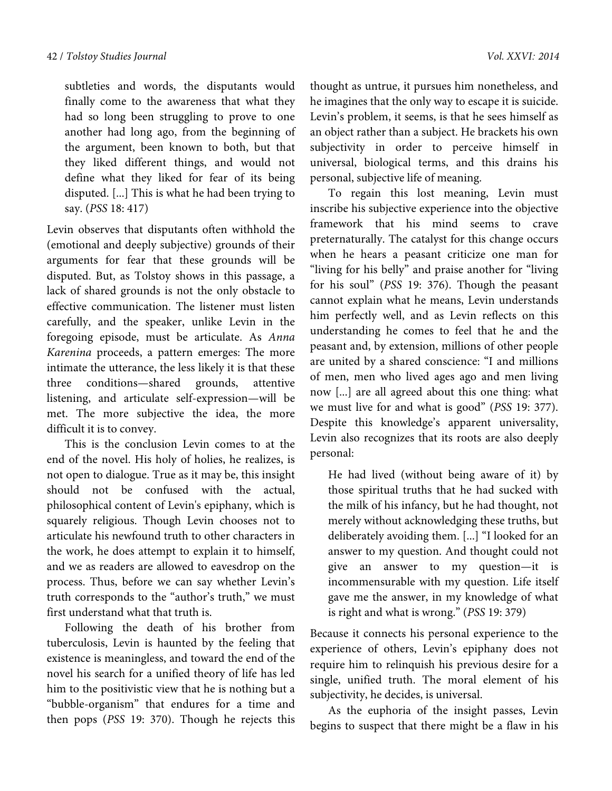subtleties and words, the disputants would finally come to the awareness that what they had so long been struggling to prove to one another had long ago, from the beginning of the argument, been known to both, but that they liked different things, and would not define what they liked for fear of its being disputed. [...] This is what he had been trying to say. (*PSS* 18: 417)

Levin observes that disputants often withhold the (emotional and deeply subjective) grounds of their arguments for fear that these grounds will be disputed. But, as Tolstoy shows in this passage, a lack of shared grounds is not the only obstacle to effective communication. The listener must listen carefully, and the speaker, unlike Levin in the foregoing episode, must be articulate. As *Anna Karenina* proceeds, a pattern emerges: The more intimate the utterance, the less likely it is that these three conditions—shared grounds, attentive listening, and articulate self-expression—will be met. The more subjective the idea, the more difficult it is to convey.

This is the conclusion Levin comes to at the end of the novel. His holy of holies, he realizes, is not open to dialogue. True as it may be, this insight should not be confused with the actual, philosophical content of Levin's epiphany, which is squarely religious. Though Levin chooses not to articulate his newfound truth to other characters in the work, he does attempt to explain it to himself, and we as readers are allowed to eavesdrop on the process. Thus, before we can say whether Levin's truth corresponds to the "author's truth," we must first understand what that truth is.

Following the death of his brother from tuberculosis, Levin is haunted by the feeling that existence is meaningless, and toward the end of the novel his search for a unified theory of life has led him to the positivistic view that he is nothing but a "bubble-organism" that endures for a time and then pops (*PSS* 19: 370). Though he rejects this

thought as untrue, it pursues him nonetheless, and he imagines that the only way to escape it is suicide. Levin's problem, it seems, is that he sees himself as an object rather than a subject. He brackets his own subjectivity in order to perceive himself in universal, biological terms, and this drains his personal, subjective life of meaning.

To regain this lost meaning, Levin must inscribe his subjective experience into the objective framework that his mind seems to crave preternaturally. The catalyst for this change occurs when he hears a peasant criticize one man for "living for his belly" and praise another for "living for his soul" (*PSS* 19: 376). Though the peasant cannot explain what he means, Levin understands him perfectly well, and as Levin reflects on this understanding he comes to feel that he and the peasant and, by extension, millions of other people are united by a shared conscience: "I and millions of men, men who lived ages ago and men living now [...] are all agreed about this one thing: what we must live for and what is good" (*PSS* 19: 377). Despite this knowledge's apparent universality, Levin also recognizes that its roots are also deeply personal:

He had lived (without being aware of it) by those spiritual truths that he had sucked with the milk of his infancy, but he had thought, not merely without acknowledging these truths, but deliberately avoiding them. [...] "I looked for an answer to my question. And thought could not give an answer to my question—it is incommensurable with my question. Life itself gave me the answer, in my knowledge of what is right and what is wrong." (*PSS* 19: 379)

Because it connects his personal experience to the experience of others, Levin's epiphany does not require him to relinquish his previous desire for a single, unified truth. The moral element of his subjectivity, he decides, is universal.

As the euphoria of the insight passes, Levin begins to suspect that there might be a flaw in his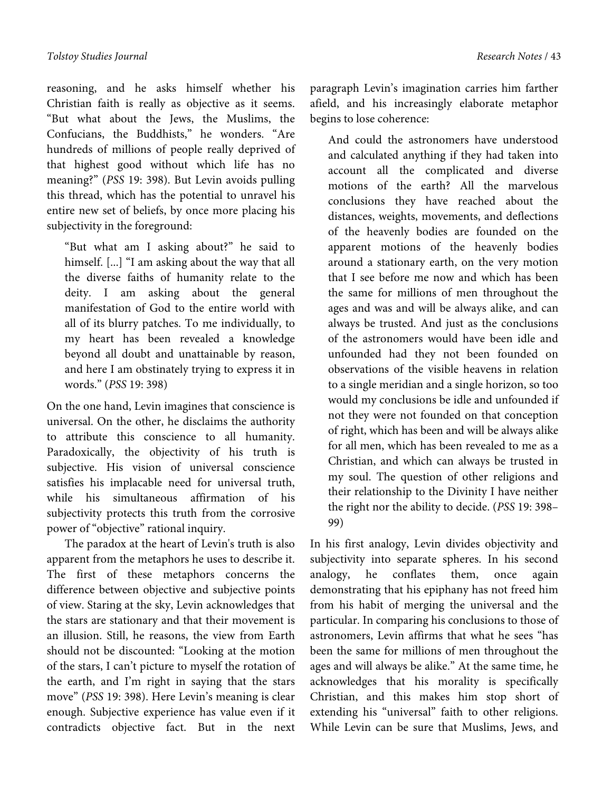reasoning, and he asks himself whether his Christian faith is really as objective as it seems. "But what about the Jews, the Muslims, the Confucians, the Buddhists," he wonders. "Are hundreds of millions of people really deprived of that highest good without which life has no meaning?" (*PSS* 19: 398). But Levin avoids pulling this thread, which has the potential to unravel his entire new set of beliefs, by once more placing his subjectivity in the foreground:

"But what am I asking about?" he said to himself. [...] "I am asking about the way that all the diverse faiths of humanity relate to the deity. I am asking about the general manifestation of God to the entire world with all of its blurry patches. To me individually, to my heart has been revealed a knowledge beyond all doubt and unattainable by reason, and here I am obstinately trying to express it in words." (*PSS* 19: 398)

On the one hand, Levin imagines that conscience is universal. On the other, he disclaims the authority to attribute this conscience to all humanity. Paradoxically, the objectivity of his truth is subjective. His vision of universal conscience satisfies his implacable need for universal truth, while his simultaneous affirmation of his subjectivity protects this truth from the corrosive power of "objective" rational inquiry.

The paradox at the heart of Levin's truth is also apparent from the metaphors he uses to describe it. The first of these metaphors concerns the difference between objective and subjective points of view. Staring at the sky, Levin acknowledges that the stars are stationary and that their movement is an illusion. Still, he reasons, the view from Earth should not be discounted: "Looking at the motion of the stars, I can't picture to myself the rotation of the earth, and I'm right in saying that the stars move" (*PSS* 19: 398). Here Levin's meaning is clear enough. Subjective experience has value even if it contradicts objective fact. But in the next

paragraph Levin's imagination carries him farther afield, and his increasingly elaborate metaphor begins to lose coherence:

And could the astronomers have understood and calculated anything if they had taken into account all the complicated and diverse motions of the earth? All the marvelous conclusions they have reached about the distances, weights, movements, and deflections of the heavenly bodies are founded on the apparent motions of the heavenly bodies around a stationary earth, on the very motion that I see before me now and which has been the same for millions of men throughout the ages and was and will be always alike, and can always be trusted. And just as the conclusions of the astronomers would have been idle and unfounded had they not been founded on observations of the visible heavens in relation to a single meridian and a single horizon, so too would my conclusions be idle and unfounded if not they were not founded on that conception of right, which has been and will be always alike for all men, which has been revealed to me as a Christian, and which can always be trusted in my soul. The question of other religions and their relationship to the Divinity I have neither the right nor the ability to decide. (*PSS* 19: 398– 99)

In his first analogy, Levin divides objectivity and subjectivity into separate spheres. In his second analogy, he conflates them, once again demonstrating that his epiphany has not freed him from his habit of merging the universal and the particular. In comparing his conclusions to those of astronomers, Levin affirms that what he sees "has been the same for millions of men throughout the ages and will always be alike." At the same time, he acknowledges that his morality is specifically Christian, and this makes him stop short of extending his "universal" faith to other religions. While Levin can be sure that Muslims, Jews, and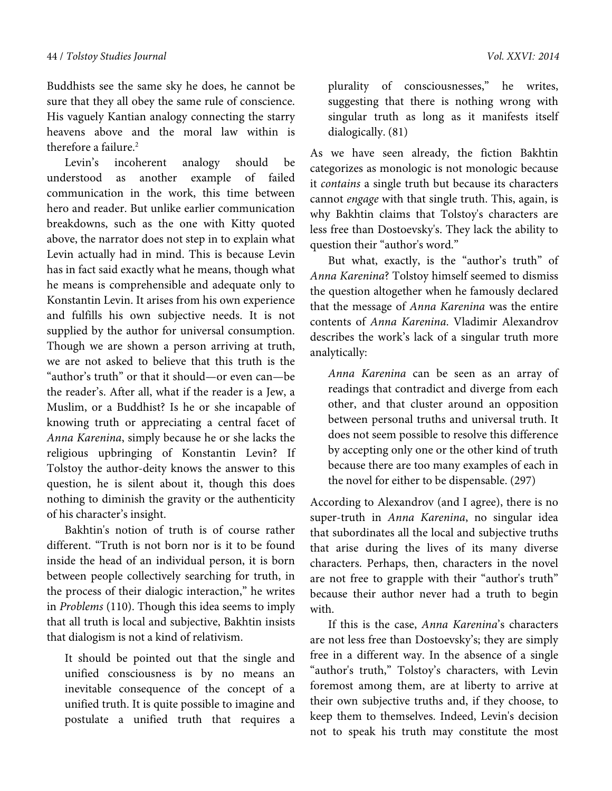Buddhists see the same sky he does, he cannot be sure that they all obey the same rule of conscience. His vaguely Kantian analogy connecting the starry heavens above and the moral law within is therefore a failure.<sup>2</sup>

Levin's incoherent analogy should be understood as another example of failed communication in the work, this time between hero and reader. But unlike earlier communication breakdowns, such as the one with Kitty quoted above, the narrator does not step in to explain what Levin actually had in mind. This is because Levin has in fact said exactly what he means, though what he means is comprehensible and adequate only to Konstantin Levin. It arises from his own experience and fulfills his own subjective needs. It is not supplied by the author for universal consumption. Though we are shown a person arriving at truth, we are not asked to believe that this truth is the "author's truth" or that it should—or even can—be the reader's. After all, what if the reader is a Jew, a Muslim, or a Buddhist? Is he or she incapable of knowing truth or appreciating a central facet of *Anna Karenina*, simply because he or she lacks the religious upbringing of Konstantin Levin? If Tolstoy the author-deity knows the answer to this question, he is silent about it, though this does nothing to diminish the gravity or the authenticity of his character's insight.

Bakhtin's notion of truth is of course rather different. "Truth is not born nor is it to be found inside the head of an individual person, it is born between people collectively searching for truth, in the process of their dialogic interaction," he writes in *Problems* (110). Though this idea seems to imply that all truth is local and subjective, Bakhtin insists that dialogism is not a kind of relativism.

It should be pointed out that the single and unified consciousness is by no means an inevitable consequence of the concept of a unified truth. It is quite possible to imagine and postulate a unified truth that requires a plurality of consciousnesses," he writes, suggesting that there is nothing wrong with singular truth as long as it manifests itself dialogically. (81)

As we have seen already, the fiction Bakhtin categorizes as monologic is not monologic because it *contains* a single truth but because its characters cannot *engage* with that single truth. This, again, is why Bakhtin claims that Tolstoy's characters are less free than Dostoevsky's. They lack the ability to question their "author's word."

But what, exactly, is the "author's truth" of *Anna Karenina*? Tolstoy himself seemed to dismiss the question altogether when he famously declared that the message of *Anna Karenina* was the entire contents of *Anna Karenina*. Vladimir Alexandrov describes the work's lack of a singular truth more analytically:

*Anna Karenina* can be seen as an array of readings that contradict and diverge from each other, and that cluster around an opposition between personal truths and universal truth. It does not seem possible to resolve this difference by accepting only one or the other kind of truth because there are too many examples of each in the novel for either to be dispensable. (297)

According to Alexandrov (and I agree), there is no super-truth in *Anna Karenina*, no singular idea that subordinates all the local and subjective truths that arise during the lives of its many diverse characters. Perhaps, then, characters in the novel are not free to grapple with their "author's truth" because their author never had a truth to begin with.

If this is the case, *Anna Karenina*'s characters are not less free than Dostoevsky's; they are simply free in a different way. In the absence of a single "author's truth," Tolstoy's characters, with Levin foremost among them, are at liberty to arrive at their own subjective truths and, if they choose, to keep them to themselves. Indeed, Levin's decision not to speak his truth may constitute the most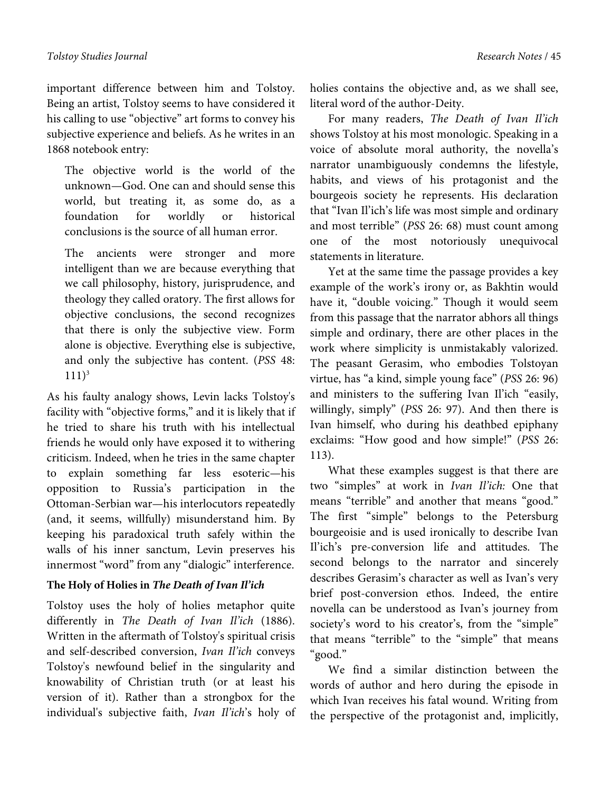important difference between him and Tolstoy. Being an artist, Tolstoy seems to have considered it his calling to use "objective" art forms to convey his subjective experience and beliefs. As he writes in an 1868 notebook entry:

The objective world is the world of the unknown—God. One can and should sense this world, but treating it, as some do, as a foundation for worldly or historical conclusions is the source of all human error.

The ancients were stronger and more intelligent than we are because everything that we call philosophy, history, jurisprudence, and theology they called oratory. The first allows for objective conclusions, the second recognizes that there is only the subjective view. Form alone is objective. Everything else is subjective, and only the subjective has content. (*PSS* 48:  $111)^3$ 

As his faulty analogy shows, Levin lacks Tolstoy's facility with "objective forms," and it is likely that if he tried to share his truth with his intellectual friends he would only have exposed it to withering criticism. Indeed, when he tries in the same chapter to explain something far less esoteric—his opposition to Russia's participation in the Ottoman-Serbian war—his interlocutors repeatedly (and, it seems, willfully) misunderstand him. By keeping his paradoxical truth safely within the walls of his inner sanctum, Levin preserves his innermost "word" from any "dialogic" interference.

# **The Holy of Holies in** *The Death of Ivan Il'ich*

Tolstoy uses the holy of holies metaphor quite differently in *The Death of Ivan Il'ich* (1886). Written in the aftermath of Tolstoy's spiritual crisis and self-described conversion, *Ivan Il'ich* conveys Tolstoy's newfound belief in the singularity and knowability of Christian truth (or at least his version of it). Rather than a strongbox for the individual's subjective faith, *Ivan Il'ich*'s holy of holies contains the objective and, as we shall see, literal word of the author-Deity.

For many readers, *The Death of Ivan Il'ich* shows Tolstoy at his most monologic. Speaking in a voice of absolute moral authority, the novella's narrator unambiguously condemns the lifestyle, habits, and views of his protagonist and the bourgeois society he represents. His declaration that "Ivan Il'ich's life was most simple and ordinary and most terrible" (*PSS* 26: 68) must count among one of the most notoriously unequivocal statements in literature.

Yet at the same time the passage provides a key example of the work's irony or, as Bakhtin would have it, "double voicing." Though it would seem from this passage that the narrator abhors all things simple and ordinary, there are other places in the work where simplicity is unmistakably valorized. The peasant Gerasim, who embodies Tolstoyan virtue, has "a kind, simple young face" (*PSS* 26: 96) and ministers to the suffering Ivan Il'ich "easily, willingly, simply" (*PSS* 26: 97). And then there is Ivan himself, who during his deathbed epiphany exclaims: "How good and how simple!" (*PSS* 26: 113).

What these examples suggest is that there are two "simples" at work in *Ivan Il'ich:* One that means "terrible" and another that means "good." The first "simple" belongs to the Petersburg bourgeoisie and is used ironically to describe Ivan Il'ich's pre-conversion life and attitudes. The second belongs to the narrator and sincerely describes Gerasim's character as well as Ivan's very brief post-conversion ethos. Indeed, the entire novella can be understood as Ivan's journey from society's word to his creator's, from the "simple" that means "terrible" to the "simple" that means "good."

We find a similar distinction between the words of author and hero during the episode in which Ivan receives his fatal wound. Writing from the perspective of the protagonist and, implicitly,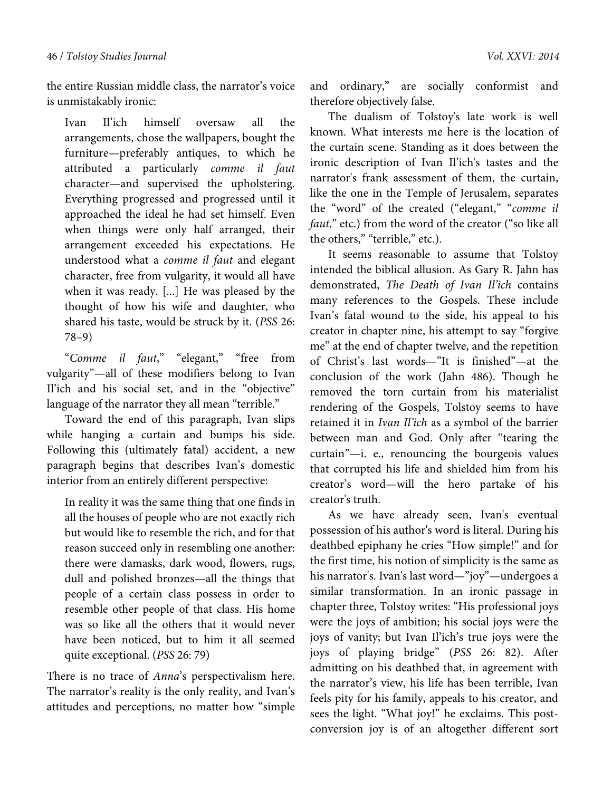the entire Russian middle class, the narrator's voice is unmistakably ironic:

Ivan Il'ich himself oversaw all the arrangements, chose the wallpapers, bought the furniture—preferably antiques, to which he attributed a particularly *comme il faut*  character—and supervised the upholstering. Everything progressed and progressed until it approached the ideal he had set himself. Even when things were only half arranged, their arrangement exceeded his expectations. He understood what a *comme il faut* and elegant character, free from vulgarity, it would all have when it was ready. [...] He was pleased by the thought of how his wife and daughter, who shared his taste, would be struck by it. (*PSS* 26: 78–9)

"*Comme il faut*," "elegant," "free from vulgarity"—all of these modifiers belong to Ivan Il'ich and his social set, and in the "objective" language of the narrator they all mean "terrible."

Toward the end of this paragraph, Ivan slips while hanging a curtain and bumps his side. Following this (ultimately fatal) accident, a new paragraph begins that describes Ivan's domestic interior from an entirely different perspective:

In reality it was the same thing that one finds in all the houses of people who are not exactly rich but would like to resemble the rich, and for that reason succeed only in resembling one another: there were damasks, dark wood, flowers, rugs, dull and polished bronzes—all the things that people of a certain class possess in order to resemble other people of that class. His home was so like all the others that it would never have been noticed, but to him it all seemed quite exceptional. (*PSS* 26: 79)

There is no trace of *Anna*'s perspectivalism here. The narrator's reality is the only reality, and Ivan's attitudes and perceptions, no matter how "simple and ordinary," are socially conformist and therefore objectively false.

The dualism of Tolstoy's late work is well known. What interests me here is the location of the curtain scene. Standing as it does between the ironic description of Ivan Il'ich's tastes and the narrator's frank assessment of them, the curtain, like the one in the Temple of Jerusalem, separates the "word" of the created ("elegant," "*comme il faut*," etc.) from the word of the creator ("so like all the others," "terrible," etc.).

It seems reasonable to assume that Tolstoy intended the biblical allusion. As Gary R. Jahn has demonstrated, *The Death of Ivan Il'ich* contains many references to the Gospels. These include Ivan's fatal wound to the side, his appeal to his creator in chapter nine, his attempt to say "forgive me" at the end of chapter twelve, and the repetition of Christ's last words—"It is finished"—at the conclusion of the work (Jahn 486). Though he removed the torn curtain from his materialist rendering of the Gospels, Tolstoy seems to have retained it in *Ivan Il'ich* as a symbol of the barrier between man and God. Only after "tearing the curtain"—i. e., renouncing the bourgeois values that corrupted his life and shielded him from his creator's word—will the hero partake of his creator's truth.

As we have already seen, Ivan's eventual possession of his author's word is literal. During his deathbed epiphany he cries "How simple!" and for the first time, his notion of simplicity is the same as his narrator's. Ivan's last word—"joy"—undergoes a similar transformation. In an ironic passage in chapter three, Tolstoy writes: "His professional joys were the joys of ambition; his social joys were the joys of vanity; but Ivan Il'ich's true joys were the joys of playing bridge" (*PSS* 26: 82). After admitting on his deathbed that, in agreement with the narrator's view, his life has been terrible, Ivan feels pity for his family, appeals to his creator, and sees the light. "What joy!" he exclaims. This postconversion joy is of an altogether different sort